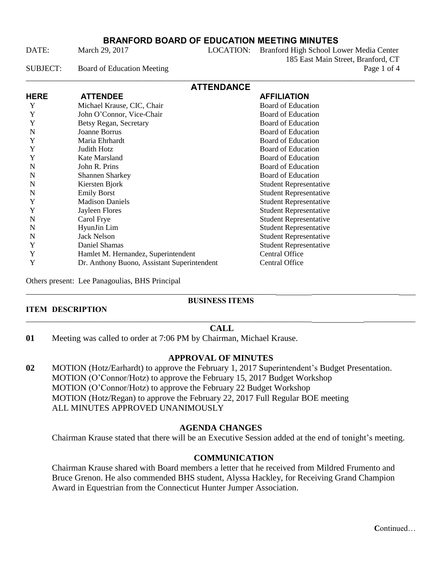### **BRANFORD BOARD OF EDUCATION MEETING MINUTES**

DATE: March 29, 2017 LOCATION: Branford High School Lower Media Center 185 East Main Street, Branford, CT SUBJECT: Board of Education Meeting Page 1 of 4

| <b>ATTENDANCE</b> |                                             |                               |  |
|-------------------|---------------------------------------------|-------------------------------|--|
| <b>HERE</b>       | <b>ATTENDEE</b>                             | <b>AFFILIATION</b>            |  |
| Y                 | Michael Krause, CIC, Chair                  | Board of Education            |  |
| Y                 | John O'Connor, Vice-Chair                   | <b>Board of Education</b>     |  |
| Y                 | Betsy Regan, Secretary                      | <b>Board of Education</b>     |  |
| N                 | Joanne Borrus                               | Board of Education            |  |
| Y                 | Maria Ehrhardt                              | <b>Board of Education</b>     |  |
| Y                 | Judith Hotz                                 | <b>Board of Education</b>     |  |
| Y                 | Kate Marsland                               | <b>Board of Education</b>     |  |
| N                 | John R. Prins                               | <b>Board of Education</b>     |  |
| N                 | <b>Shannen Sharkey</b>                      | <b>Board of Education</b>     |  |
| N                 | Kiersten Bjork                              | <b>Student Representative</b> |  |
| N                 | <b>Emily Borst</b>                          | <b>Student Representative</b> |  |
| Y                 | <b>Madison Daniels</b>                      | <b>Student Representative</b> |  |
| Y                 | Jayleen Flores                              | <b>Student Representative</b> |  |
| N                 | Carol Frye                                  | <b>Student Representative</b> |  |
| N                 | HyunJin Lim                                 | <b>Student Representative</b> |  |
| N                 | <b>Jack Nelson</b>                          | <b>Student Representative</b> |  |
| Y                 | Daniel Shamas                               | <b>Student Representative</b> |  |
| Y                 | Hamlet M. Hernandez, Superintendent         | Central Office                |  |
| Y                 | Dr. Anthony Buono, Assistant Superintendent | Central Office                |  |

Others present: Lee Panagoulias, BHS Principal

#### \_\_\_\_\_\_\_\_\_\_\_\_\_\_\_\_\_\_\_\_\_\_\_\_\_\_\_\_\_\_\_\_\_\_\_\_\_\_\_\_\_\_\_\_\_\_\_\_\_\_\_\_\_\_\_\_\_\_\_\_\_\_\_ \_\_\_\_\_\_\_\_\_\_\_\_\_\_\_\_\_\_\_\_\_\_ **BUSINESS ITEMS**

#### **ITEM DESCRIPTION** \_\_\_\_\_\_\_\_\_\_\_\_\_\_\_\_\_\_\_\_\_\_\_\_\_\_\_\_\_\_\_\_\_\_\_\_\_\_\_\_\_\_\_\_\_\_\_\_\_\_\_\_\_\_\_\_\_\_\_\_\_\_\_\_\_\_\_\_\_\_\_\_ \_\_\_\_\_\_\_\_\_\_\_\_\_

### **CALL**

**01** Meeting was called to order at 7:06 PM by Chairman, Michael Krause.

### **APPROVAL OF MINUTES**

**02** MOTION (Hotz/Earhardt) to approve the February 1, 2017 Superintendent's Budget Presentation. MOTION (O'Connor/Hotz) to approve the February 15, 2017 Budget Workshop MOTION (O'Connor/Hotz) to approve the February 22 Budget Workshop MOTION (Hotz/Regan) to approve the February 22, 2017 Full Regular BOE meeting ALL MINUTES APPROVED UNANIMOUSLY

### **AGENDA CHANGES**

Chairman Krause stated that there will be an Executive Session added at the end of tonight's meeting.

### **COMMUNICATION**

Chairman Krause shared with Board members a letter that he received from Mildred Frumento and Bruce Grenon. He also commended BHS student, Alyssa Hackley, for Receiving Grand Champion Award in Equestrian from the Connecticut Hunter Jumper Association.

**C**ontinued…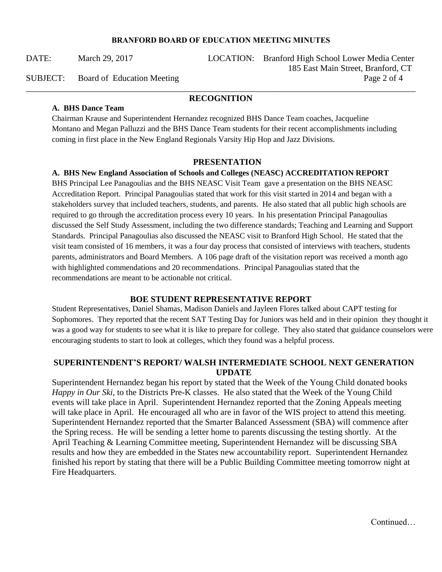#### **BRANFORD BOARD OF EDUCATION MEETING MINUTES**

DATE: March 29, 2017 LOCATION: Branford High School Lower Media Center 185 East Main Street, Branford, CT SUBJECT: Board of Education Meeting Page 2 of 4

#### \_\_\_\_\_\_\_\_\_\_\_\_\_\_\_\_\_\_\_\_\_\_\_\_\_\_\_\_\_\_\_\_\_\_\_\_\_\_\_\_\_\_\_\_\_\_\_\_\_\_\_\_\_\_\_\_\_\_\_\_\_\_\_\_\_\_\_\_\_\_\_\_\_\_\_\_\_\_\_\_\_\_\_\_\_\_\_\_\_\_ **RECOGNITION**

#### **A. BHS Dance Team**

Chairman Krause and Superintendent Hernandez recognized BHS Dance Team coaches, Jacqueline Montano and Megan Palluzzi and the BHS Dance Team students for their recent accomplishments including coming in first place in the New England Regionals Varsity Hip Hop and Jazz Divisions.

#### **PRESENTATION**

#### **A. BHS New England Association of Schools and Colleges (NEASC) ACCREDITATION REPORT**

BHS Principal Lee Panagoulias and the BHS NEASC Visit Team gave a presentation on the BHS NEASC Accreditation Report. Principal Panagoulias stated that work for this visit started in 2014 and began with a stakeholders survey that included teachers, students, and parents. He also stated that all public high schools are required to go through the accreditation process every 10 years. In his presentation Principal Panagoulias discussed the Self Study Assessment, including the two difference standards; Teaching and Learning and Support Standards. Principal Panagoulias also discussed the NEASC visit to Branford High School. He stated that the visit team consisted of 16 members, it was a four day process that consisted of interviews with teachers, students parents, administrators and Board Members. A 106 page draft of the visitation report was received a month ago with highlighted commendations and 20 recommendations. Principal Panagoulias stated that the recommendations are meant to be actionable not critical.

#### **BOE STUDENT REPRESENTATIVE REPORT**

Student Representatives, Daniel Shamas, Madison Daniels and Jayleen Flores talked about CAPT testing for Sophomores. They reported that the recent SAT Testing Day for Juniors was held and in their opinion they thought it was a good way for students to see what it is like to prepare for college. They also stated that guidance counselors were encouraging students to start to look at colleges, which they found was a helpful process.

#### **SUPERINTENDENT'S REPORT/ WALSH INTERMEDIATE SCHOOL NEXT GENERATION UPDATE**

Superintendent Hernandez began his report by stated that the Week of the Young Child donated books *Happy in Our Ski,* to the Districts Pre-K classes. He also stated that the Week of the Young Child events will take place in April. Superintendent Hernandez reported that the Zoning Appeals meeting will take place in April. He encouraged all who are in favor of the WIS project to attend this meeting. Superintendent Hernandez reported that the Smarter Balanced Assessment (SBA) will commence after the Spring recess. He will be sending a letter home to parents discussing the testing shortly. At the April Teaching & Learning Committee meeting, Superintendent Hernandez will be discussing SBA results and how they are embedded in the States new accountability report. Superintendent Hernandez finished his report by stating that there will be a Public Building Committee meeting tomorrow night at Fire Headquarters.

**Continued**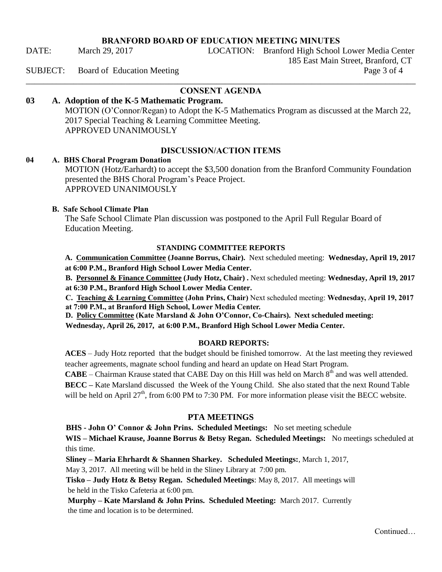#### **BRANFORD BOARD OF EDUCATION MEETING MINUTES**

DATE: March 29, 2017 LOCATION: Branford High School Lower Media Center

185 East Main Street, Branford, CT

#### SUBJECT: Board of Education Meeting Page 3 of 4

### \_\_\_\_\_\_\_\_\_\_\_\_\_\_\_\_\_\_\_\_\_\_\_\_\_\_\_\_\_\_\_\_\_\_\_\_\_\_\_\_\_\_\_\_\_\_\_\_\_\_\_\_\_\_\_\_\_\_\_\_\_\_\_\_\_\_\_\_\_\_\_\_\_\_\_\_\_\_\_\_\_\_\_\_\_\_\_\_\_\_ **CONSENT AGENDA**

# **03 A. Adoption of the K-5 Mathematic Program.**

 MOTION (O'Connor/Regan) to Adopt the K-5 Mathematics Program as discussed at the March 22, 2017 Special Teaching & Learning Committee Meeting. APPROVED UNANIMOUSLY

#### **DISCUSSION/ACTION ITEMS**

#### **04 A. BHS Choral Program Donation**

MOTION (Hotz/Earhardt) to accept the \$3,500 donation from the Branford Community Foundation presented the BHS Choral Program's Peace Project. APPROVED UNANIMOUSLY

#### **B. Safe School Climate Plan**

The Safe School Climate Plan discussion was postponed to the April Full Regular Board of Education Meeting.

#### **STANDING COMMITTEE REPORTS**

**A. Communication Committee (Joanne Borrus, Chair).** Next scheduled meeting: **Wednesday, April 19, 2017 at 6:00 P.M., Branford High School Lower Media Center.** 

**B. Personnel & Finance Committee (Judy Hotz, Chair) .** Next scheduled meeting: **Wednesday, April 19, 2017 at 6:30 P.M., Branford High School Lower Media Center.** 

**C. Teaching & Learning Committee (John Prins, Chair)** Next scheduled meeting: **Wednesday, April 19, 2017 at 7:00 P.M., at Branford High School, Lower Media Center.** 

**D. Policy Committee (Kate Marsland & John O'Connor, Co-Chairs). Next scheduled meeting:** 

**Wednesday, April 26, 2017, at 6:00 P.M., Branford High School Lower Media Center.** 

#### **BOARD REPORTS:**

**ACES** – Judy Hotz reported that the budget should be finished tomorrow. At the last meeting they reviewed teacher agreements, magnate school funding and heard an update on Head Start Program.

**CABE** – Chairman Krause stated that CABE Day on this Hill was held on March  $8<sup>th</sup>$  and was well attended.

**BECC –** Kate Marsland discussed the Week of the Young Child. She also stated that the next Round Table will be held on April  $27<sup>th</sup>$ , from 6:00 PM to 7:30 PM. For more information please visit the BECC website.

#### **PTA MEETINGS**

**BHS - John O' Connor & John Prins. Scheduled Meetings:** No set meeting schedule

**WIS – Michael Krause, Joanne Borrus & Betsy Regan. Scheduled Meetings:** No meetings scheduled at this time.

 **Sliney – Maria Ehrhardt & Shannen Sharkey. Scheduled Meetings:**, March 1, 2017,

May 3, 2017. All meeting will be held in the Sliney Library at 7:00 pm.

 **Tisko – Judy Hotz & Betsy Regan. Scheduled Meetings**: May 8, 2017. All meetings will be held in the Tisko Cafeteria at 6:00 pm.

 **Murphy – Kate Marsland & John Prins. Scheduled Meeting:** March 2017. Currently the time and location is to be determined.

Continued…